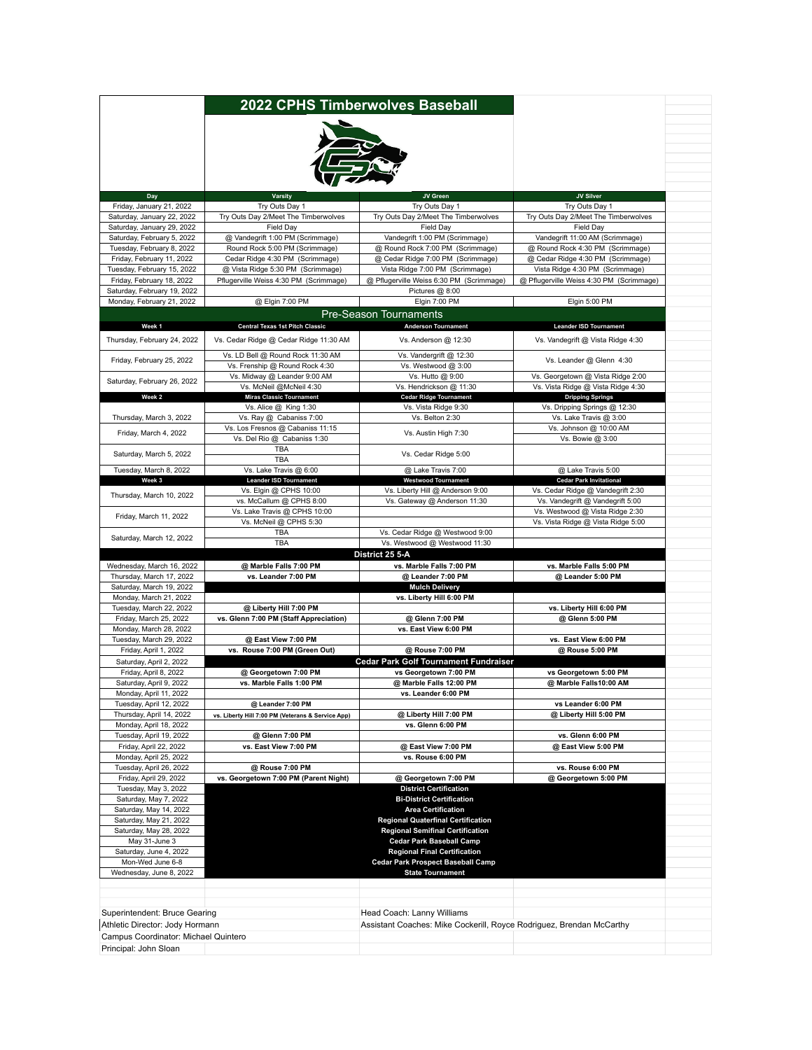|                                                         |                                                                      | 2022 CPHS Timberwolves Baseball                                             |                                                                             |
|---------------------------------------------------------|----------------------------------------------------------------------|-----------------------------------------------------------------------------|-----------------------------------------------------------------------------|
|                                                         |                                                                      |                                                                             |                                                                             |
|                                                         |                                                                      |                                                                             |                                                                             |
|                                                         |                                                                      |                                                                             |                                                                             |
|                                                         |                                                                      |                                                                             |                                                                             |
|                                                         |                                                                      |                                                                             |                                                                             |
| Day                                                     | <b>Varsity</b>                                                       | JV Green<br>Try Outs Day 1                                                  | JV Silver                                                                   |
| Friday, January 21, 2022<br>Saturday, January 22, 2022  | Try Outs Day 1<br>Try Outs Day 2/Meet The Timberwolves               | Try Outs Day 2/Meet The Timberwolves                                        | Try Outs Day 1<br>Try Outs Day 2/Meet The Timberwolves                      |
| Saturday, January 29, 2022                              | Field Day                                                            | Field Day                                                                   | Field Day                                                                   |
| Saturday, February 5, 2022                              | @ Vandegrift 1:00 PM (Scrimmage)                                     | Vandegrift 1:00 PM (Scrimmage)                                              | Vandegrift 11:00 AM (Scrimmage)                                             |
| Tuesday, February 8, 2022                               | Round Rock 5:00 PM (Scrimmage)                                       | @ Round Rock 7:00 PM (Scrimmage)                                            | @ Round Rock 4:30 PM (Scrimmage)                                            |
| Friday, February 11, 2022<br>Tuesday, February 15, 2022 | Cedar Ridge 4:30 PM (Scrimmage)<br>@ Vista Ridge 5:30 PM (Scrimmage) | @ Cedar Ridge 7:00 PM (Scrimmage)                                           | @ Cedar Ridge 4:30 PM (Scrimmage)                                           |
| Friday, February 18, 2022                               | Pflugerville Weiss 4:30 PM (Scrimmage)                               | Vista Ridge 7:00 PM (Scrimmage)<br>@ Pflugerville Weiss 6:30 PM (Scrimmage) | Vista Ridge 4:30 PM (Scrimmage)<br>@ Pflugerville Weiss 4:30 PM (Scrimmage) |
| Saturday, February 19, 2022                             |                                                                      | Pictures @ 8:00                                                             |                                                                             |
| Monday, February 21, 2022                               | @ Elgin 7:00 PM                                                      | Elgin 7:00 PM                                                               | Elgin 5:00 PM                                                               |
|                                                         |                                                                      | <b>Pre-Season Tournaments</b>                                               |                                                                             |
| Week <sub>1</sub>                                       | Central Texas 1st Pitch Classic                                      | <b>Anderson Tournament</b>                                                  | <b>Leander ISD Tournament</b>                                               |
| Thursday, February 24, 2022                             | Vs. Cedar Ridge @ Cedar Ridge 11:30 AM                               | Vs. Anderson @ 12:30                                                        | Vs. Vandegrift @ Vista Ridge 4:30                                           |
| Friday, February 25, 2022                               | Vs. LD Bell @ Round Rock 11:30 AM                                    | Vs. Vandergrift @ 12:30                                                     | Vs. Leander @ Glenn 4:30                                                    |
|                                                         | Vs. Frenship @ Round Rock 4:30                                       | Vs. Westwood @ 3:00                                                         |                                                                             |
| Saturday, February 26, 2022                             | Vs. Midway @ Leander 9:00 AM<br>Vs. McNeil @McNeil 4:30              | Vs. Hutto @ 9:00<br>Vs. Hendrickson @ 11:30                                 | Vs. Georgetown @ Vista Ridge 2:00                                           |
| Week 2                                                  | <b>Miras Classic Tournament</b>                                      | <b>Cedar Ridge Tournament</b>                                               | Vs. Vista Ridge @ Vista Ridge 4:30<br><b>Dripping Springs</b>               |
|                                                         | Vs. Alice @ King 1:30                                                | Vs. Vista Ridge 9:30                                                        | Vs. Dripping Springs @ 12:30                                                |
| Thursday, March 3, 2022                                 | Vs. Ray @ Cabaniss 7:00                                              | Vs. Belton 2:30                                                             | Vs. Lake Travis @ 3:00                                                      |
| Friday, March 4, 2022                                   | Vs. Los Fresnos @ Cabaniss 11:15                                     | Vs. Austin High 7:30                                                        | Vs. Johnson @ 10:00 AM                                                      |
|                                                         | Vs. Del Rio @ Cabaniss 1:30<br>TBA                                   |                                                                             | Vs. Bowie @ 3:00                                                            |
| Saturday, March 5, 2022                                 | TBA                                                                  | Vs. Cedar Ridge 5:00                                                        |                                                                             |
| Tuesday, March 8, 2022                                  | Vs. Lake Travis @ 6:00                                               | @ Lake Travis 7:00                                                          | @ Lake Travis 5:00                                                          |
| Week 3                                                  | <b>Leander ISD Tournament</b>                                        | <b>Westwood Tournament</b>                                                  | <b>Cedar Park Invitational</b>                                              |
| Thursday, March 10, 2022                                | Vs. Elgin @ CPHS 10:00<br>vs. McCallum @ CPHS 8:00                   | Vs. Liberty Hill @ Anderson 9:00<br>Vs. Gateway @ Anderson 11:30            | Vs. Cedar Ridge @ Vandegrift 2:30<br>Vs. Vandegrift @ Vandegrift 5:00       |
|                                                         | Vs. Lake Travis @ CPHS 10:00                                         |                                                                             | Vs. Westwood @ Vista Ridge 2:30                                             |
| Friday, March 11, 2022                                  | Vs. McNeil @ CPHS 5:30                                               |                                                                             | Vs. Vista Ridge @ Vista Ridge 5:00                                          |
| Saturday, March 12, 2022                                | <b>TBA</b>                                                           | Vs. Cedar Ridge @ Westwood 9:00                                             |                                                                             |
|                                                         | <b>TBA</b>                                                           | Vs. Westwood @ Westwood 11:30                                               |                                                                             |
| Wednesday, March 16, 2022                               | @ Marble Falls 7:00 PM                                               | District 25 5-A<br>vs. Marble Falls 7:00 PM                                 | vs. Marble Falls 5:00 PM                                                    |
| Thursday, March 17, 2022                                | vs. Leander 7:00 PM                                                  | @ Leander 7:00 PM                                                           | @ Leander 5:00 PM                                                           |
| Saturday, March 19, 2022                                |                                                                      | <b>Mulch Delivery</b>                                                       |                                                                             |
| Monday, March 21, 2022                                  |                                                                      | vs. Liberty Hill 6:00 PM                                                    |                                                                             |
| Tuesday, March 22, 2022                                 | @ Liberty Hill 7:00 PM                                               |                                                                             | vs. Liberty Hill 6:00 PM                                                    |
| Friday, March 25, 2022<br>Monday, March 28, 2022        | vs. Glenn 7:00 PM (Staff Appreciation)                               | @ Glenn 7:00 PM<br>vs. East View 6:00 PM                                    | @ Glenn 5:00 PM                                                             |
| Tuesday, March 29, 2022                                 | @ East View 7:00 PM                                                  |                                                                             | vs. East View 6:00 PM                                                       |
| Friday, April 1, 2022                                   | vs. Rouse 7:00 PM (Green Out)                                        | @ Rouse 7:00 PM                                                             | @ Rouse 5:00 PM                                                             |
| Saturday, April 2, 2022                                 |                                                                      | Cedar Park Golf Tournament Fundraiser                                       |                                                                             |
| Friday, April 8, 2022                                   | @ Georgetown 7:00 PM                                                 | vs Georgetown 7:00 PM                                                       | vs Georgetown 5:00 PM                                                       |
| Saturday, April 9, 2022                                 | vs. Marble Falls 1:00 PM                                             | @ Marble Falls 12:00 PM                                                     | @ Marble Falls10:00 AM                                                      |
| Monday, April 11, 2022<br>Tuesday, April 12, 2022       | @ Leander 7:00 PM                                                    | vs. Leander 6:00 PM                                                         | vs Leander 6:00 PM                                                          |
| Thursday, April 14, 2022                                | vs. Liberty Hill 7:00 PM (Veterans & Service App)                    | @ Liberty Hill 7:00 PM                                                      | @ Liberty Hill 5:00 PM                                                      |
| Monday, April 18, 2022                                  |                                                                      | vs. Glenn 6:00 PM                                                           |                                                                             |
| Tuesday, April 19, 2022                                 | @ Glenn 7:00 PM                                                      |                                                                             | vs. Glenn 6:00 PM                                                           |
| Friday, April 22, 2022                                  | vs. East View 7:00 PM                                                | @ East View 7:00 PM                                                         | @ East View 5:00 PM                                                         |
| Monday, April 25, 2022<br>Tuesday, April 26, 2022       | @ Rouse 7:00 PM                                                      | vs. Rouse 6:00 PM                                                           | vs. Rouse 6:00 PM                                                           |
| Friday, April 29, 2022                                  | vs. Georgetown 7:00 PM (Parent Night)                                | @ Georgetown 7:00 PM                                                        | @ Georgetown 5:00 PM                                                        |
| Tuesday, May 3, 2022                                    |                                                                      | <b>District Certification</b>                                               |                                                                             |
| Saturday, May 7, 2022                                   |                                                                      | <b>Bi-District Certification</b>                                            |                                                                             |
| Saturday, May 14, 2022                                  |                                                                      | <b>Area Certification</b>                                                   |                                                                             |
| Saturday, May 21, 2022<br>Saturday, May 28, 2022        |                                                                      | <b>Regional Quaterfinal Certification</b>                                   |                                                                             |
| May 31-June 3                                           |                                                                      | <b>Regional Semifinal Certification</b><br><b>Cedar Park Baseball Camp</b>  |                                                                             |
| Saturday, June 4, 2022                                  |                                                                      | <b>Regional Final Certification</b>                                         |                                                                             |
| Mon-Wed June 6-8                                        |                                                                      | <b>Cedar Park Prospect Baseball Camp</b>                                    |                                                                             |
| Wednesday, June 8, 2022                                 |                                                                      | <b>State Tournament</b>                                                     |                                                                             |
|                                                         |                                                                      |                                                                             |                                                                             |
|                                                         |                                                                      |                                                                             |                                                                             |
| Superintendent: Bruce Gearing                           |                                                                      | Head Coach: Lanny Williams                                                  |                                                                             |
| Athletic Director: Jody Hormann                         |                                                                      | Assistant Coaches: Mike Cockerill, Royce Rodriguez, Brendan McCarthy        |                                                                             |
| Campus Coordinator: Michael Quintero                    |                                                                      |                                                                             |                                                                             |
| Principal: John Sloan                                   |                                                                      |                                                                             |                                                                             |
|                                                         |                                                                      |                                                                             |                                                                             |